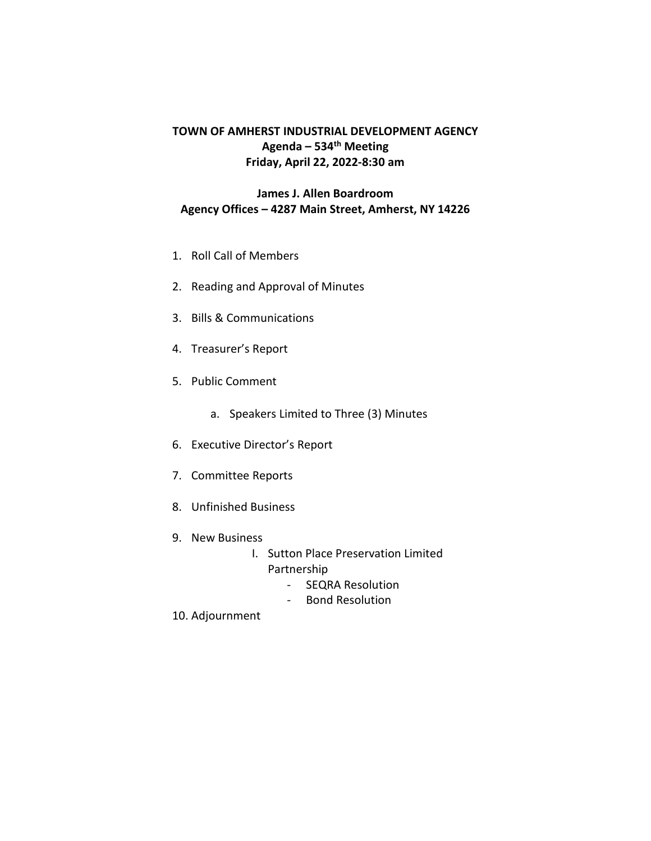# **TOWN OF AMHERST INDUSTRIAL DEVELOPMENT AGENCY Agenda – 534th Meeting Friday, April 22, 2022-8:30 am**

# **James J. Allen Boardroom Agency Offices – 4287 Main Street, Amherst, NY 14226**

- 1. Roll Call of Members
- 2. Reading and Approval of Minutes
- 3. Bills & Communications
- 4. Treasurer's Report
- 5. Public Comment
	- a. Speakers Limited to Three (3) Minutes
- 6. Executive Director's Report
- 7. Committee Reports
- 8. Unfinished Business
- 9. New Business
	- I. Sutton Place Preservation Limited Partnership
		- SEQRA Resolution
		- Bond Resolution
- 10. Adjournment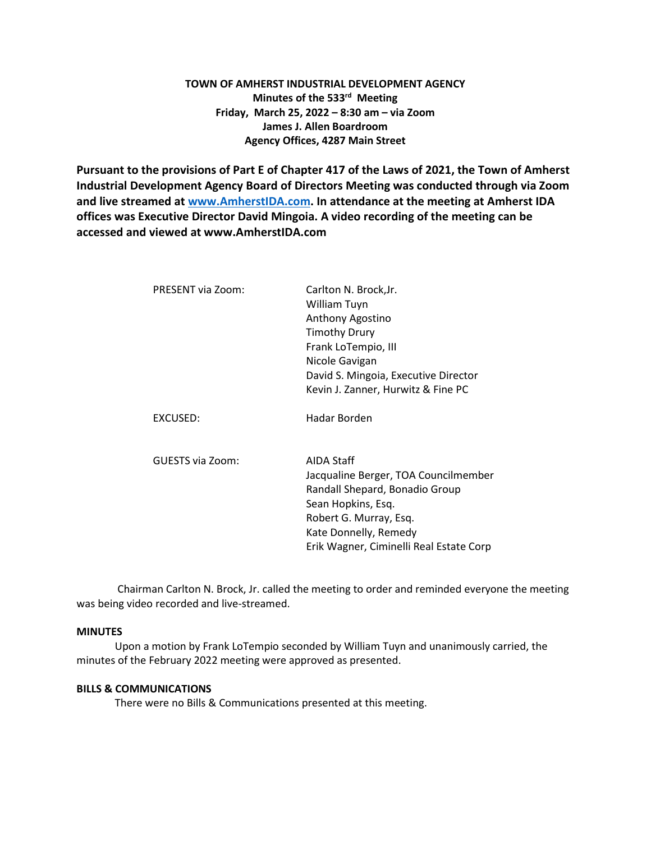# **TOWN OF AMHERST INDUSTRIAL DEVELOPMENT AGENCY Minutes of the 533rd Meeting Friday, March 25, 2022 – 8:30 am – via Zoom James J. Allen Boardroom Agency Offices, 4287 Main Street**

**Pursuant to the provisions of Part E of Chapter 417 of the Laws of 2021, the Town of Amherst Industrial Development Agency Board of Directors Meeting was conducted through via Zoom and live streamed at [www.AmherstIDA.com.](http://www.amherstida.com/) In attendance at the meeting at Amherst IDA offices was Executive Director David Mingoia. A video recording of the meeting can be accessed and viewed at www.AmherstIDA.com**

| PRESENT via Zoom: | Carlton N. Brock, Jr.<br>William Tuyn<br>Anthony Agostino<br><b>Timothy Drury</b><br>Frank LoTempio, III<br>Nicole Gavigan<br>David S. Mingoia, Executive Director                                       |
|-------------------|----------------------------------------------------------------------------------------------------------------------------------------------------------------------------------------------------------|
| EXCUSED:          | Kevin J. Zanner, Hurwitz & Fine PC<br>Hadar Borden                                                                                                                                                       |
| GUESTS via Zoom:  | AIDA Staff<br>Jacqualine Berger, TOA Councilmember<br>Randall Shepard, Bonadio Group<br>Sean Hopkins, Esq.<br>Robert G. Murray, Esq.<br>Kate Donnelly, Remedy<br>Erik Wagner, Ciminelli Real Estate Corp |

Chairman Carlton N. Brock, Jr. called the meeting to order and reminded everyone the meeting was being video recorded and live-streamed.

### **MINUTES**

Upon a motion by Frank LoTempio seconded by William Tuyn and unanimously carried, the minutes of the February 2022 meeting were approved as presented.

#### **BILLS & COMMUNICATIONS**

There were no Bills & Communications presented at this meeting.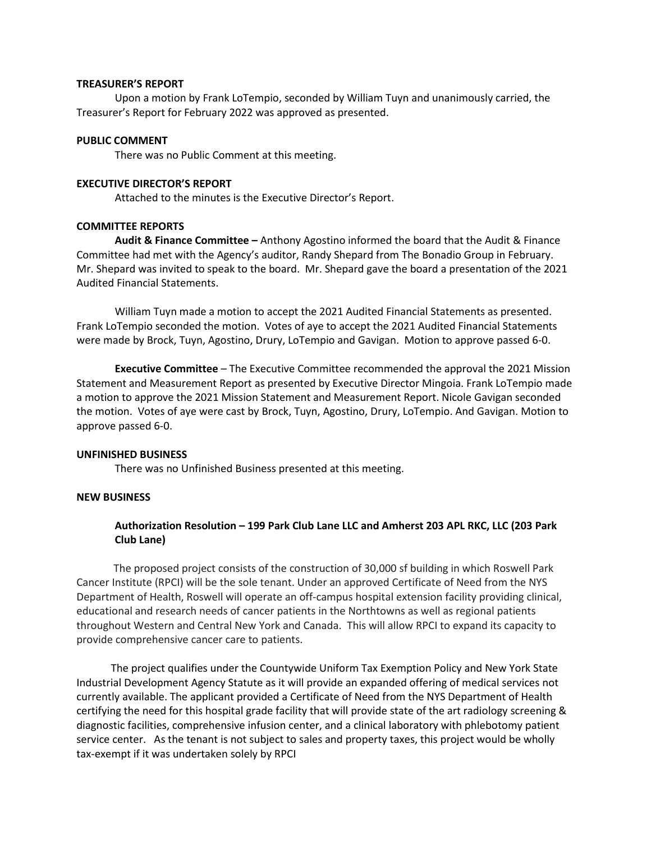#### **TREASURER'S REPORT**

Upon a motion by Frank LoTempio, seconded by William Tuyn and unanimously carried, the Treasurer's Report for February 2022 was approved as presented.

#### **PUBLIC COMMENT**

There was no Public Comment at this meeting.

#### **EXECUTIVE DIRECTOR'S REPORT**

Attached to the minutes is the Executive Director's Report.

#### **COMMITTEE REPORTS**

**Audit & Finance Committee –** Anthony Agostino informed the board that the Audit & Finance Committee had met with the Agency's auditor, Randy Shepard from The Bonadio Group in February. Mr. Shepard was invited to speak to the board. Mr. Shepard gave the board a presentation of the 2021 Audited Financial Statements.

William Tuyn made a motion to accept the 2021 Audited Financial Statements as presented. Frank LoTempio seconded the motion. Votes of aye to accept the 2021 Audited Financial Statements were made by Brock, Tuyn, Agostino, Drury, LoTempio and Gavigan. Motion to approve passed 6-0.

**Executive Committee** – The Executive Committee recommended the approval the 2021 Mission Statement and Measurement Report as presented by Executive Director Mingoia. Frank LoTempio made a motion to approve the 2021 Mission Statement and Measurement Report. Nicole Gavigan seconded the motion. Votes of aye were cast by Brock, Tuyn, Agostino, Drury, LoTempio. And Gavigan. Motion to approve passed 6-0.

#### **UNFINISHED BUSINESS**

There was no Unfinished Business presented at this meeting.

## **NEW BUSINESS**

## **Authorization Resolution – 199 Park Club Lane LLC and Amherst 203 APL RKC, LLC (203 Park Club Lane)**

 The proposed project consists of the construction of 30,000 sf building in which Roswell Park Cancer Institute (RPCI) will be the sole tenant. Under an approved Certificate of Need from the NYS Department of Health, Roswell will operate an off-campus hospital extension facility providing clinical, educational and research needs of cancer patients in the Northtowns as well as regional patients throughout Western and Central New York and Canada. This will allow RPCI to expand its capacity to provide comprehensive cancer care to patients.

 The project qualifies under the Countywide Uniform Tax Exemption Policy and New York State Industrial Development Agency Statute as it will provide an expanded offering of medical services not currently available. The applicant provided a Certificate of Need from the NYS Department of Health certifying the need for this hospital grade facility that will provide state of the art radiology screening & diagnostic facilities, comprehensive infusion center, and a clinical laboratory with phlebotomy patient service center. As the tenant is not subject to sales and property taxes, this project would be wholly tax-exempt if it was undertaken solely by RPCI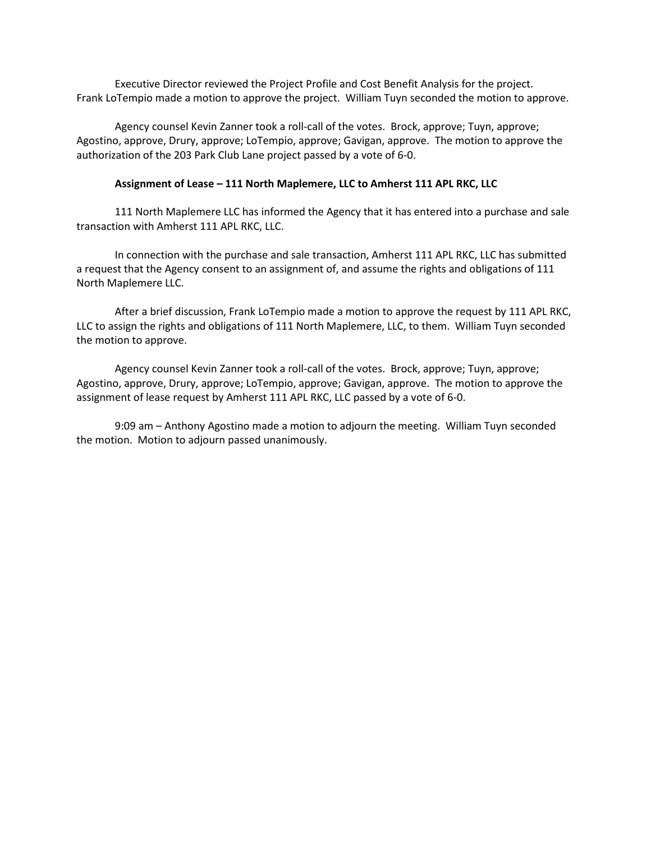Executive Director reviewed the Project Profile and Cost Benefit Analysis for the project. Frank LoTempio made a motion to approve the project. William Tuyn seconded the motion to approve.

Agency counsel Kevin Zanner took a roll-call of the votes. Brock, approve; Tuyn, approve; Agostino, approve, Drury, approve; LoTempio, approve; Gavigan, approve. The motion to approve the authorization of the 203 Park Club Lane project passed by a vote of 6-0.

### **Assignment of Lease – 111 North Maplemere, LLC to Amherst 111 APL RKC, LLC**

111 North Maplemere LLC has informed the Agency that it has entered into a purchase and sale transaction with Amherst 111 APL RKC, LLC.

In connection with the purchase and sale transaction, Amherst 111 APL RKC, LLC has submitted a request that the Agency consent to an assignment of, and assume the rights and obligations of 111 North Maplemere LLC.

After a brief discussion, Frank LoTempio made a motion to approve the request by 111 APL RKC, LLC to assign the rights and obligations of 111 North Maplemere, LLC, to them. William Tuyn seconded the motion to approve.

Agency counsel Kevin Zanner took a roll-call of the votes. Brock, approve; Tuyn, approve; Agostino, approve, Drury, approve; LoTempio, approve; Gavigan, approve. The motion to approve the assignment of lease request by Amherst 111 APL RKC, LLC passed by a vote of 6-0.

9:09 am – Anthony Agostino made a motion to adjourn the meeting. William Tuyn seconded the motion. Motion to adjourn passed unanimously.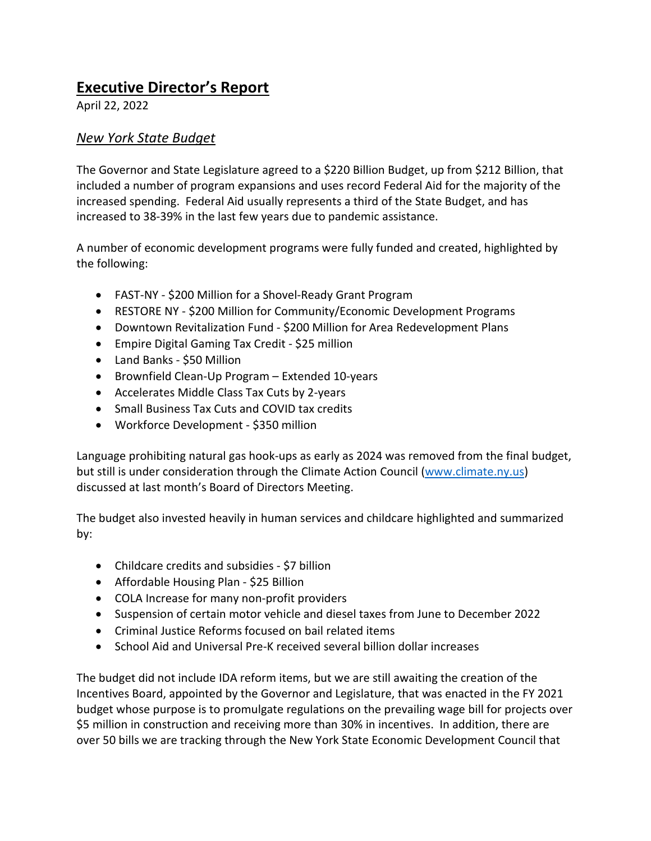# **Executive Director's Report**

April 22, 2022

# *New York State Budget*

The Governor and State Legislature agreed to a \$220 Billion Budget, up from \$212 Billion, that included a number of program expansions and uses record Federal Aid for the majority of the increased spending. Federal Aid usually represents a third of the State Budget, and has increased to 38-39% in the last few years due to pandemic assistance.

A number of economic development programs were fully funded and created, highlighted by the following:

- FAST-NY \$200 Million for a Shovel-Ready Grant Program
- RESTORE NY \$200 Million for Community/Economic Development Programs
- Downtown Revitalization Fund \$200 Million for Area Redevelopment Plans
- Empire Digital Gaming Tax Credit \$25 million
- Land Banks \$50 Million
- Brownfield Clean-Up Program Extended 10-years
- Accelerates Middle Class Tax Cuts by 2-years
- Small Business Tax Cuts and COVID tax credits
- Workforce Development \$350 million

Language prohibiting natural gas hook-ups as early as 2024 was removed from the final budget, but still is under consideration through the Climate Action Council [\(www.climate.ny.us\)](http://www.climate.ny.us/) discussed at last month's Board of Directors Meeting.

The budget also invested heavily in human services and childcare highlighted and summarized by:

- Childcare credits and subsidies \$7 billion
- Affordable Housing Plan \$25 Billion
- COLA Increase for many non-profit providers
- Suspension of certain motor vehicle and diesel taxes from June to December 2022
- Criminal Justice Reforms focused on bail related items
- School Aid and Universal Pre-K received several billion dollar increases

The budget did not include IDA reform items, but we are still awaiting the creation of the Incentives Board, appointed by the Governor and Legislature, that was enacted in the FY 2021 budget whose purpose is to promulgate regulations on the prevailing wage bill for projects over \$5 million in construction and receiving more than 30% in incentives. In addition, there are over 50 bills we are tracking through the New York State Economic Development Council that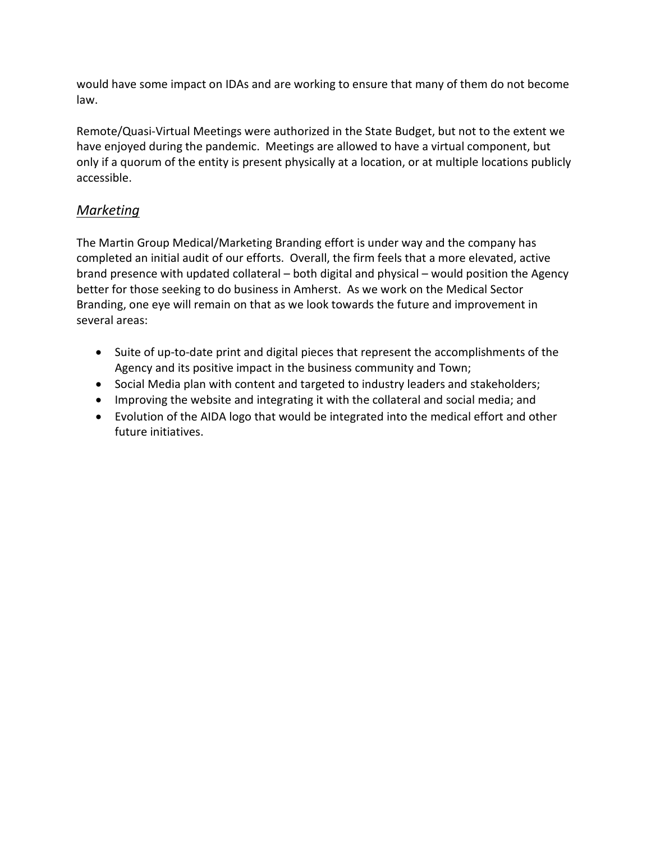would have some impact on IDAs and are working to ensure that many of them do not become law.

Remote/Quasi-Virtual Meetings were authorized in the State Budget, but not to the extent we have enjoyed during the pandemic. Meetings are allowed to have a virtual component, but only if a quorum of the entity is present physically at a location, or at multiple locations publicly accessible.

# *Marketing*

The Martin Group Medical/Marketing Branding effort is under way and the company has completed an initial audit of our efforts. Overall, the firm feels that a more elevated, active brand presence with updated collateral – both digital and physical – would position the Agency better for those seeking to do business in Amherst. As we work on the Medical Sector Branding, one eye will remain on that as we look towards the future and improvement in several areas:

- Suite of up-to-date print and digital pieces that represent the accomplishments of the Agency and its positive impact in the business community and Town;
- Social Media plan with content and targeted to industry leaders and stakeholders;
- Improving the website and integrating it with the collateral and social media; and
- Evolution of the AIDA logo that would be integrated into the medical effort and other future initiatives.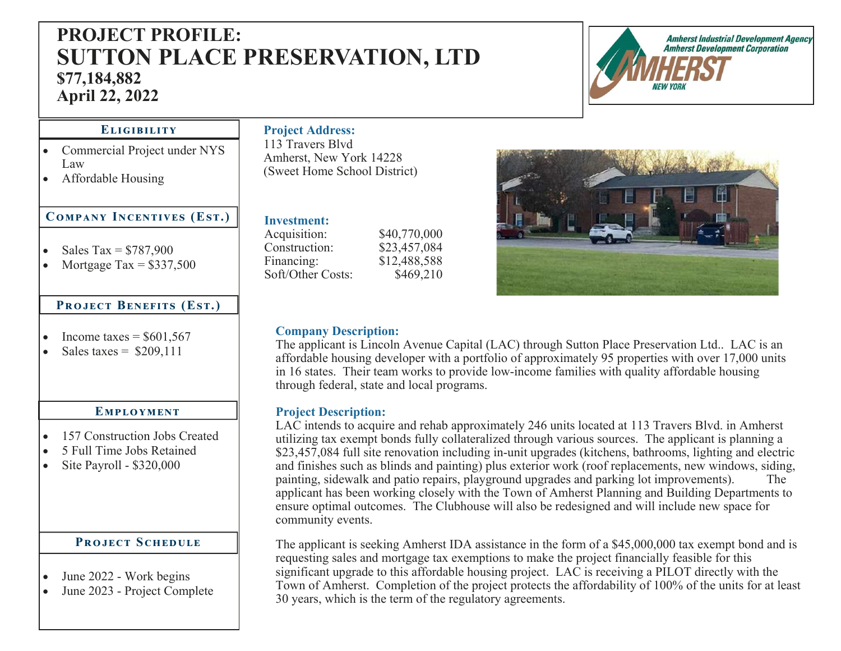# **PROJECT PROFILE: SUTTON PLACE PRESERVATION, LTD \$77,184,882 April 22, 2022**



# **ELIGIBILITY**

- Commercial Project under NYS Law
- Affordable Housing

# $COMPANY$  INCENTIVES (EST.)

- $\bullet$ Sales  $Tax = $787,900$
- $\bullet$ Mortgage Tax =  $$337,500$

# **PROJECT BENEFITS (EST.)**

- $\bullet$ Income taxes  $=$  \$601,567
- $\bullet$ Sales taxes  $=$  \$209,111

### EMPLOYMENT

- $\bullet$ 157 Construction Jobs Created
- $\bullet$ 5 Full Time Jobs Retained
- $\bullet$ Site Payroll - \$320,000

# **PROJECT SCHEDULE**

- $\bullet$ June 2022 - Work begins
- $\bullet$ June 2023 - Project Complete

## **Project Address:**  113 Travers Blvd Amherst, New York 14228

(Sweet Home School District)

# **Investment:**

Acquisition: \$40,770,000 Construction: \$23,457,084 Financing: \$12,488,588 Soft/Other Costs: \$469,210

# **Company Description:**

The applicant is Lincoln Avenue Capital (LAC) through Sutton Place Preservation Ltd.. LAC is an affordable housing developer with a portfolio of approximately 95 properties with over 17,000 units in 16 states. Their team works to provide low-income families with quality affordable housing through federal, state and local programs.

# **Project Description:**

LAC intends to acquire and rehab approximately 246 units located at 113 Travers Blvd. in Amherst utilizing tax exempt bonds fully collateralized through various sources. The applicant is planning a \$23,457,084 full site renovation including in-unit upgrades (kitchens, bathrooms, lighting and electric and finishes such as blinds and painting) plus exterior work (roof replacements, new windows, siding, painting, sidewalk and patio repairs, playground upgrades and parking lot improvements). applicant has been working closely with the Town of Amherst Planning and Building Departments to ensure optimal outcomes. The Clubhouse will also be redesigned and will include new space for community events.

The applicant is seeking Amherst IDA assistance in the form of a \$45,000,000 tax exempt bond and is requesting sales and mortgage tax exemptions to make the project financially feasible for this significant upgrade to this affordable housing project. LAC is receiving a PILOT directly with the Town of Amherst. Completion of the project protects the affordability of 100% of the units for at least 30 years, which is the term of the regulatory agreements.

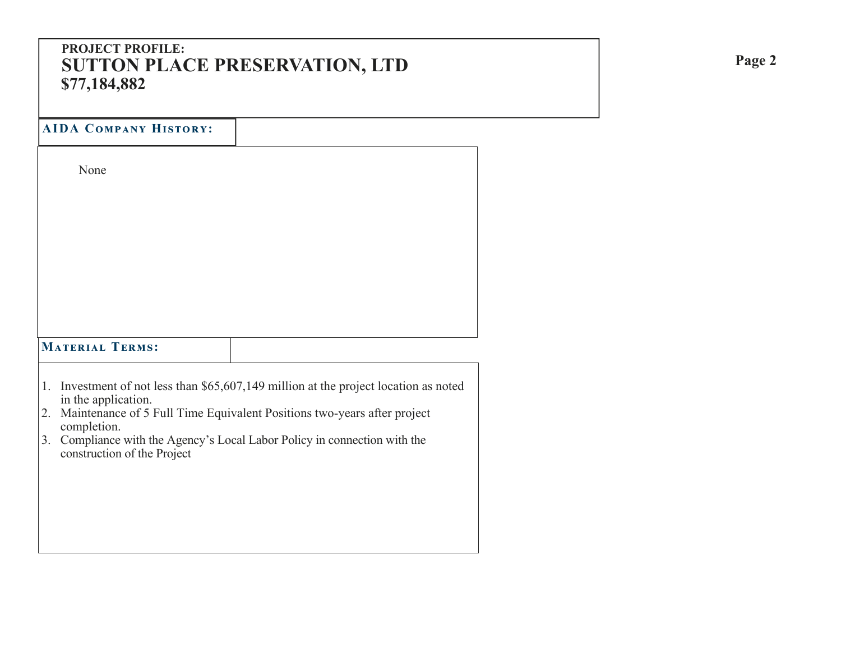# **PROJECT PROFILE: SUTTON PLACE PRESERVATION, LTD \$77,184,882**

**AIDA Cඈආඉൺඇඒ Hංඌඍඈඋඒ:** 

None

# $$

- 1. Investment of not less than \$65,607,149 million at the project location as noted in the application.
- 2. Maintenance of 5 Full Time Equivalent Positions two-years after project completion.
- 3. Compliance with the Agency's Local Labor Policy in connection with the construction of the Project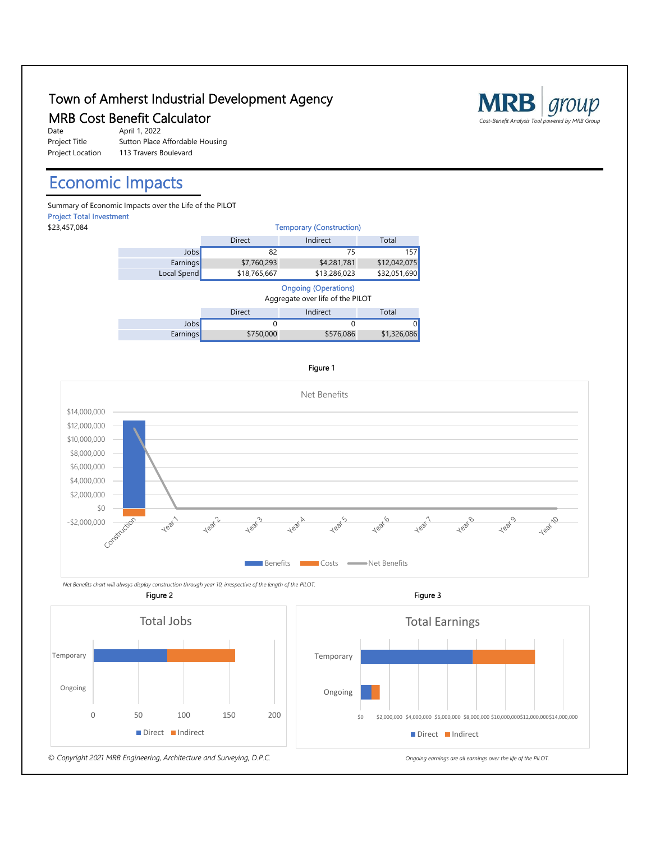# Town of Amherst Industrial Development Agency **IOWN OT AMNETST INQUSTrial Development Agency**<br>MRB Cost Benefit Calculator *Cost-Benefit Analysis Tool powered by MRB Group*



April 1, 2022 Sutton Place Affordable Housing 113 Travers Boulevard

# Economic Impacts

Summary of Economic Impacts over the Life of the PILOT Project Total Investment

Ongoing

Temporary



#### Figure 1



 *Net Benefits chart will always display construction through year 10, irrespective of the length of the PILOT.* Figure 2





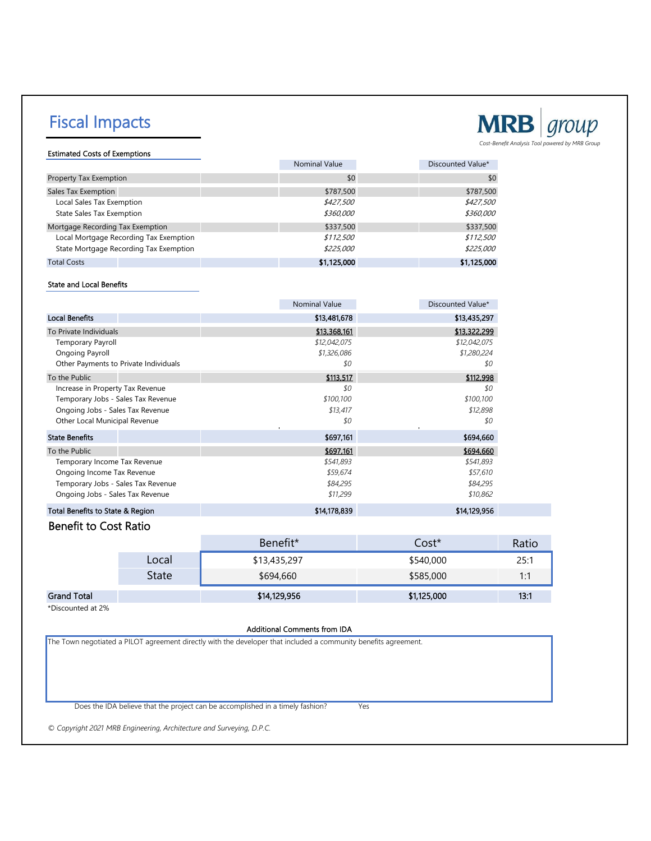# Fiscal Impacts



Estimated Costs of Exemptions

|                                        | <b>Nominal Value</b> | Discounted Value* |
|----------------------------------------|----------------------|-------------------|
| Property Tax Exemption                 | \$0                  | \$0               |
| Sales Tax Exemption                    | \$787,500            | \$787,500         |
| Local Sales Tax Exemption              | \$427,500            | \$427,500         |
| <b>State Sales Tax Exemption</b>       | \$360,000            | \$360,000         |
| Mortgage Recording Tax Exemption       | \$337,500            | \$337,500         |
| Local Mortgage Recording Tax Exemption | \$112,500            | \$112,500         |
| State Mortgage Recording Tax Exemption | \$225,000            | \$225,000         |
| <b>Total Costs</b>                     | \$1,125,000          | \$1,125,000       |

#### State and Local Benefits

|                                       | <b>Nominal Value</b> | Discounted Value* |
|---------------------------------------|----------------------|-------------------|
| <b>Local Benefits</b>                 | \$13,481,678         | \$13,435,297      |
| To Private Individuals                | \$13,368,161         | \$13,322,299      |
| <b>Temporary Payroll</b>              | \$12,042,075         | \$12,042,075      |
| Ongoing Payroll                       | \$1,326,086          | \$1,280,224       |
| Other Payments to Private Individuals | \$0                  | \$0               |
| To the Public                         | \$113,517            | \$112,998         |
| Increase in Property Tax Revenue      | \$0                  | \$0               |
| Temporary Jobs - Sales Tax Revenue    | \$100,100            | \$100,100         |
| Ongoing Jobs - Sales Tax Revenue      | \$13,417             | \$12,898          |
| Other Local Municipal Revenue         | \$0                  | \$0               |
| <b>State Benefits</b>                 | \$697,161            | \$694,660         |
| To the Public                         | \$697,161            | \$694,660         |
| Temporary Income Tax Revenue          | \$541,893            | \$541,893         |
| Ongoing Income Tax Revenue            | \$59,674             | \$57,610          |
| Temporary Jobs - Sales Tax Revenue    | \$84,295             | \$84,295          |
| Ongoing Jobs - Sales Tax Revenue      | \$11,299             | \$10,862          |
| Total Benefits to State & Region      | \$14,178,839         | \$14,129,956      |

## Benefit to Cost Ratio

|                    |       | Benefit*     | Cost*       | Ratio       |
|--------------------|-------|--------------|-------------|-------------|
|                    | Local | \$13,435,297 | \$540,000   | 25:1        |
|                    | State | \$694,660    | \$585,000   | $1 \cdot 1$ |
| <b>Grand Total</b> |       | \$14,129,956 | \$1,125,000 | 13:1        |

\*Discounted at 2%

#### Additional Comments from IDA

The Town negotiated a PILOT agreement directly with the developer that included a community benefits agreement.

Does the IDA believe that the project can be accomplished in a timely fashion? Yes

*© Copyright 2021 MRB Engineering, Architecture and Surveying, D.P.C.*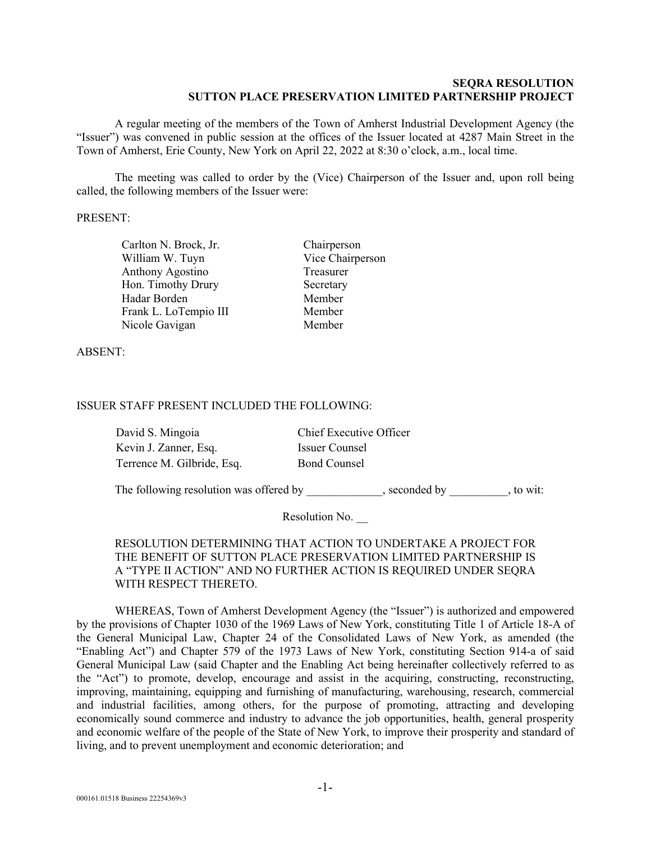#### **SEQRA RESOLUTION SUTTON PLACE PRESERVATION LIMITED PARTNERSHIP PROJECT**

A regular meeting of the members of the Town of Amherst Industrial Development Agency (the "Issuer") was convened in public session at the offices of the Issuer located at 4287 Main Street in the Town of Amherst, Erie County, New York on April 22, 2022 at 8:30 o'clock, a.m., local time.

The meeting was called to order by the (Vice) Chairperson of the Issuer and, upon roll being called, the following members of the Issuer were:

#### PRESENT:

Carlton N. Brock, Jr. Chairperson William W. Tuyn Vice Chairperson Anthony Agostino Treasurer Hon. Timothy Drury Secretary Hadar Borden Member Frank L. LoTempio III Member Nicole Gavigan Member

ABSENT:

### ISSUER STAFF PRESENT INCLUDED THE FOLLOWING:

| David S. Mingoia           | Chief Executive Officer |
|----------------------------|-------------------------|
| Kevin J. Zanner, Esq.      | Issuer Counsel          |
| Terrence M. Gilbride, Esq. | <b>Bond Counsel</b>     |

The following resolution was offered by \_\_\_\_\_\_\_\_\_\_, seconded by \_\_\_\_\_\_\_\_, to wit:

Resolution No.

## RESOLUTION DETERMINING THAT ACTION TO UNDERTAKE A PROJECT FOR THE BENEFIT OF SUTTON PLACE PRESERVATION LIMITED PARTNERSHIP IS A "TYPE II ACTION" AND NO FURTHER ACTION IS REQUIRED UNDER SEQRA WITH RESPECT THERETO.

WHEREAS, Town of Amherst Development Agency (the "Issuer") is authorized and empowered by the provisions of Chapter 1030 of the 1969 Laws of New York, constituting Title 1 of Article 18-A of the General Municipal Law, Chapter 24 of the Consolidated Laws of New York, as amended (the "Enabling Act") and Chapter 579 of the 1973 Laws of New York, constituting Section 914-a of said General Municipal Law (said Chapter and the Enabling Act being hereinafter collectively referred to as the "Act") to promote, develop, encourage and assist in the acquiring, constructing, reconstructing, improving, maintaining, equipping and furnishing of manufacturing, warehousing, research, commercial and industrial facilities, among others, for the purpose of promoting, attracting and developing economically sound commerce and industry to advance the job opportunities, health, general prosperity and economic welfare of the people of the State of New York, to improve their prosperity and standard of living, and to prevent unemployment and economic deterioration; and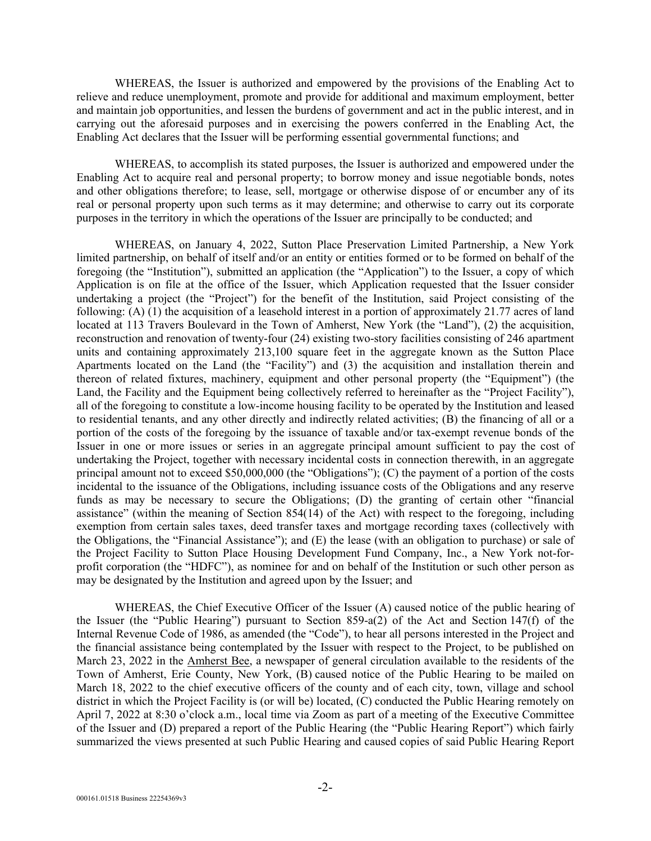WHEREAS, the Issuer is authorized and empowered by the provisions of the Enabling Act to relieve and reduce unemployment, promote and provide for additional and maximum employment, better and maintain job opportunities, and lessen the burdens of government and act in the public interest, and in carrying out the aforesaid purposes and in exercising the powers conferred in the Enabling Act, the Enabling Act declares that the Issuer will be performing essential governmental functions; and

WHEREAS, to accomplish its stated purposes, the Issuer is authorized and empowered under the Enabling Act to acquire real and personal property; to borrow money and issue negotiable bonds, notes and other obligations therefore; to lease, sell, mortgage or otherwise dispose of or encumber any of its real or personal property upon such terms as it may determine; and otherwise to carry out its corporate purposes in the territory in which the operations of the Issuer are principally to be conducted; and

WHEREAS, on January 4, 2022, Sutton Place Preservation Limited Partnership, a New York limited partnership, on behalf of itself and/or an entity or entities formed or to be formed on behalf of the foregoing (the "Institution"), submitted an application (the "Application") to the Issuer, a copy of which Application is on file at the office of the Issuer, which Application requested that the Issuer consider undertaking a project (the "Project") for the benefit of the Institution, said Project consisting of the following: (A) (1) the acquisition of a leasehold interest in a portion of approximately 21.77 acres of land located at 113 Travers Boulevard in the Town of Amherst, New York (the "Land"), (2) the acquisition, reconstruction and renovation of twenty-four (24) existing two-story facilities consisting of 246 apartment units and containing approximately 213,100 square feet in the aggregate known as the Sutton Place Apartments located on the Land (the "Facility") and (3) the acquisition and installation therein and thereon of related fixtures, machinery, equipment and other personal property (the "Equipment") (the Land, the Facility and the Equipment being collectively referred to hereinafter as the "Project Facility"), all of the foregoing to constitute a low-income housing facility to be operated by the Institution and leased to residential tenants, and any other directly and indirectly related activities; (B) the financing of all or a portion of the costs of the foregoing by the issuance of taxable and/or tax-exempt revenue bonds of the Issuer in one or more issues or series in an aggregate principal amount sufficient to pay the cost of undertaking the Project, together with necessary incidental costs in connection therewith, in an aggregate principal amount not to exceed \$50,000,000 (the "Obligations"); (C) the payment of a portion of the costs incidental to the issuance of the Obligations, including issuance costs of the Obligations and any reserve funds as may be necessary to secure the Obligations; (D) the granting of certain other "financial assistance" (within the meaning of Section 854(14) of the Act) with respect to the foregoing, including exemption from certain sales taxes, deed transfer taxes and mortgage recording taxes (collectively with the Obligations, the "Financial Assistance"); and (E) the lease (with an obligation to purchase) or sale of the Project Facility to Sutton Place Housing Development Fund Company, Inc., a New York not-forprofit corporation (the "HDFC"), as nominee for and on behalf of the Institution or such other person as may be designated by the Institution and agreed upon by the Issuer; and

WHEREAS, the Chief Executive Officer of the Issuer (A) caused notice of the public hearing of the Issuer (the "Public Hearing") pursuant to Section 859-a(2) of the Act and Section 147(f) of the Internal Revenue Code of 1986, as amended (the "Code"), to hear all persons interested in the Project and the financial assistance being contemplated by the Issuer with respect to the Project, to be published on March 23, 2022 in the Amherst Bee, a newspaper of general circulation available to the residents of the Town of Amherst, Erie County, New York, (B) caused notice of the Public Hearing to be mailed on March 18, 2022 to the chief executive officers of the county and of each city, town, village and school district in which the Project Facility is (or will be) located, (C) conducted the Public Hearing remotely on April 7, 2022 at 8:30 o'clock a.m., local time via Zoom as part of a meeting of the Executive Committee of the Issuer and (D) prepared a report of the Public Hearing (the "Public Hearing Report") which fairly summarized the views presented at such Public Hearing and caused copies of said Public Hearing Report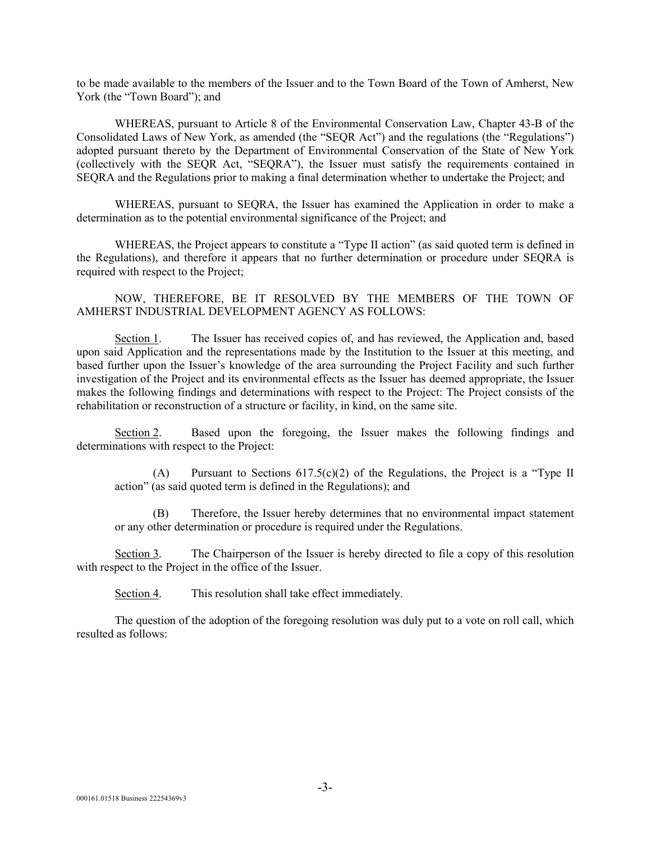to be made available to the members of the Issuer and to the Town Board of the Town of Amherst, New York (the "Town Board"); and

WHEREAS, pursuant to Article 8 of the Environmental Conservation Law, Chapter 43-B of the Consolidated Laws of New York, as amended (the "SEQR Act") and the regulations (the "Regulations") adopted pursuant thereto by the Department of Environmental Conservation of the State of New York (collectively with the SEQR Act, "SEQRA"), the Issuer must satisfy the requirements contained in SEQRA and the Regulations prior to making a final determination whether to undertake the Project; and

WHEREAS, pursuant to SEQRA, the Issuer has examined the Application in order to make a determination as to the potential environmental significance of the Project; and

WHEREAS, the Project appears to constitute a "Type II action" (as said quoted term is defined in the Regulations), and therefore it appears that no further determination or procedure under SEQRA is required with respect to the Project;

NOW, THEREFORE, BE IT RESOLVED BY THE MEMBERS OF THE TOWN OF AMHERST INDUSTRIAL DEVELOPMENT AGENCY AS FOLLOWS:

Section 1. The Issuer has received copies of, and has reviewed, the Application and, based upon said Application and the representations made by the Institution to the Issuer at this meeting, and based further upon the Issuer's knowledge of the area surrounding the Project Facility and such further investigation of the Project and its environmental effects as the Issuer has deemed appropriate, the Issuer makes the following findings and determinations with respect to the Project: The Project consists of the rehabilitation or reconstruction of a structure or facility, in kind, on the same site.

Section 2. Based upon the foregoing, the Issuer makes the following findings and determinations with respect to the Project:

(A) Pursuant to Sections 617.5(c)(2) of the Regulations, the Project is a "Type II action" (as said quoted term is defined in the Regulations); and

Therefore, the Issuer hereby determines that no environmental impact statement or any other determination or procedure is required under the Regulations.

Section 3. The Chairperson of the Issuer is hereby directed to file a copy of this resolution with respect to the Project in the office of the Issuer.

Section 4. This resolution shall take effect immediately.

The question of the adoption of the foregoing resolution was duly put to a vote on roll call, which resulted as follows: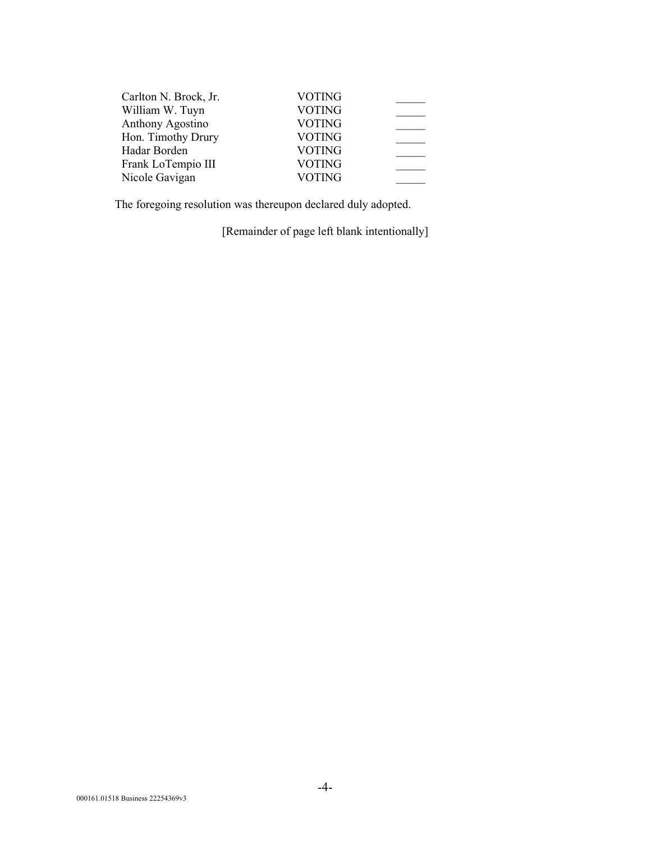| Carlton N. Brock, Jr. | <b>VOTING</b> |  |
|-----------------------|---------------|--|
| William W. Tuyn       | <b>VOTING</b> |  |
| Anthony Agostino      | <b>VOTING</b> |  |
| Hon. Timothy Drury    | <b>VOTING</b> |  |
| Hadar Borden          | <b>VOTING</b> |  |
| Frank LoTempio III    | <b>VOTING</b> |  |
| Nicole Gavigan        | <b>VOTING</b> |  |

The foregoing resolution was thereupon declared duly adopted.

[Remainder of page left blank intentionally]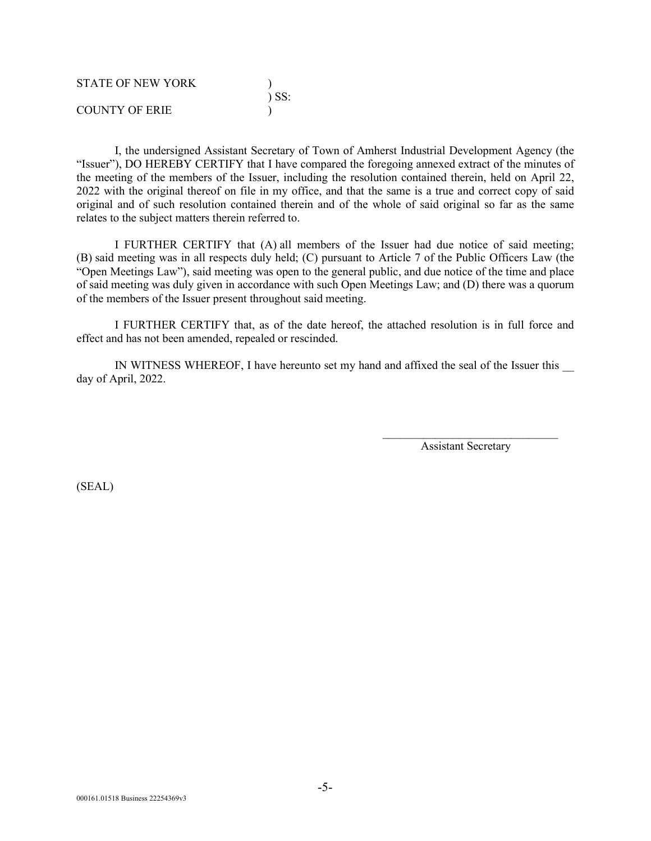| <b>STATE OF NEW YORK</b> |            |
|--------------------------|------------|
|                          | $\sum$ SS: |
| <b>COUNTY OF ERIE</b>    |            |

I, the undersigned Assistant Secretary of Town of Amherst Industrial Development Agency (the "Issuer"), DO HEREBY CERTIFY that I have compared the foregoing annexed extract of the minutes of the meeting of the members of the Issuer, including the resolution contained therein, held on April 22, 2022 with the original thereof on file in my office, and that the same is a true and correct copy of said original and of such resolution contained therein and of the whole of said original so far as the same relates to the subject matters therein referred to.

I FURTHER CERTIFY that (A) all members of the Issuer had due notice of said meeting; (B) said meeting was in all respects duly held; (C) pursuant to Article 7 of the Public Officers Law (the "Open Meetings Law"), said meeting was open to the general public, and due notice of the time and place of said meeting was duly given in accordance with such Open Meetings Law; and (D) there was a quorum of the members of the Issuer present throughout said meeting.

I FURTHER CERTIFY that, as of the date hereof, the attached resolution is in full force and effect and has not been amended, repealed or rescinded.

IN WITNESS WHEREOF, I have hereunto set my hand and affixed the seal of the Issuer this day of April, 2022.

> \_\_\_\_\_\_\_\_\_\_\_\_\_\_\_\_\_\_\_\_\_\_\_\_\_\_\_\_\_\_ Assistant Secretary

(SEAL)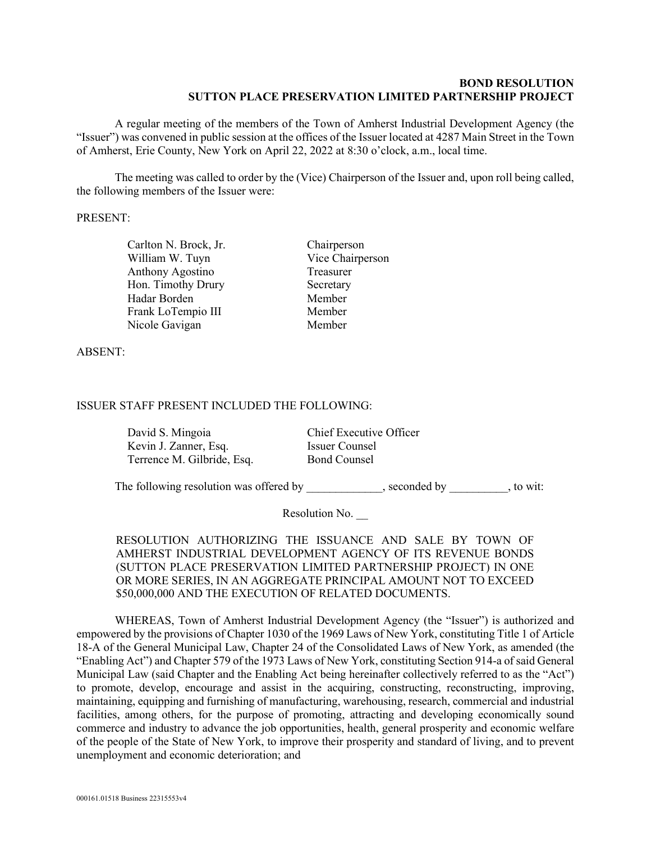#### **BOND RESOLUTION SUTTON PLACE PRESERVATION LIMITED PARTNERSHIP PROJECT**

A regular meeting of the members of the Town of Amherst Industrial Development Agency (the "Issuer") was convened in public session at the offices of the Issuer located at 4287 Main Street in the Town of Amherst, Erie County, New York on April 22, 2022 at 8:30 o'clock, a.m., local time.

The meeting was called to order by the (Vice) Chairperson of the Issuer and, upon roll being called, the following members of the Issuer were:

#### PRESENT:

Carlton N. Brock, Jr. Chairperson William W. Tuyn Vice Chairperson Anthony Agostino Treasurer Hon. Timothy Drury Secretary Hadar Borden Member Frank LoTempio III Member Nicole Gavigan Member

ABSENT:

## ISSUER STAFF PRESENT INCLUDED THE FOLLOWING:

David S. Mingoia Chief Executive Officer Kevin J. Zanner, Esq. **Issuer Counsel** Terrence M. Gilbride, Esq. Bond Counsel

The following resolution was offered by \_\_\_\_\_\_\_\_\_\_\_, seconded by \_\_\_\_\_\_\_\_, to wit:

Resolution No.

RESOLUTION AUTHORIZING THE ISSUANCE AND SALE BY TOWN OF AMHERST INDUSTRIAL DEVELOPMENT AGENCY OF ITS REVENUE BONDS (SUTTON PLACE PRESERVATION LIMITED PARTNERSHIP PROJECT) IN ONE OR MORE SERIES, IN AN AGGREGATE PRINCIPAL AMOUNT NOT TO EXCEED \$50,000,000 AND THE EXECUTION OF RELATED DOCUMENTS.

WHEREAS, Town of Amherst Industrial Development Agency (the "Issuer") is authorized and empowered by the provisions of Chapter 1030 of the 1969 Laws of New York, constituting Title 1 of Article 18-A of the General Municipal Law, Chapter 24 of the Consolidated Laws of New York, as amended (the "Enabling Act") and Chapter 579 of the 1973 Laws of New York, constituting Section 914-a of said General Municipal Law (said Chapter and the Enabling Act being hereinafter collectively referred to as the "Act") to promote, develop, encourage and assist in the acquiring, constructing, reconstructing, improving, maintaining, equipping and furnishing of manufacturing, warehousing, research, commercial and industrial facilities, among others, for the purpose of promoting, attracting and developing economically sound commerce and industry to advance the job opportunities, health, general prosperity and economic welfare of the people of the State of New York, to improve their prosperity and standard of living, and to prevent unemployment and economic deterioration; and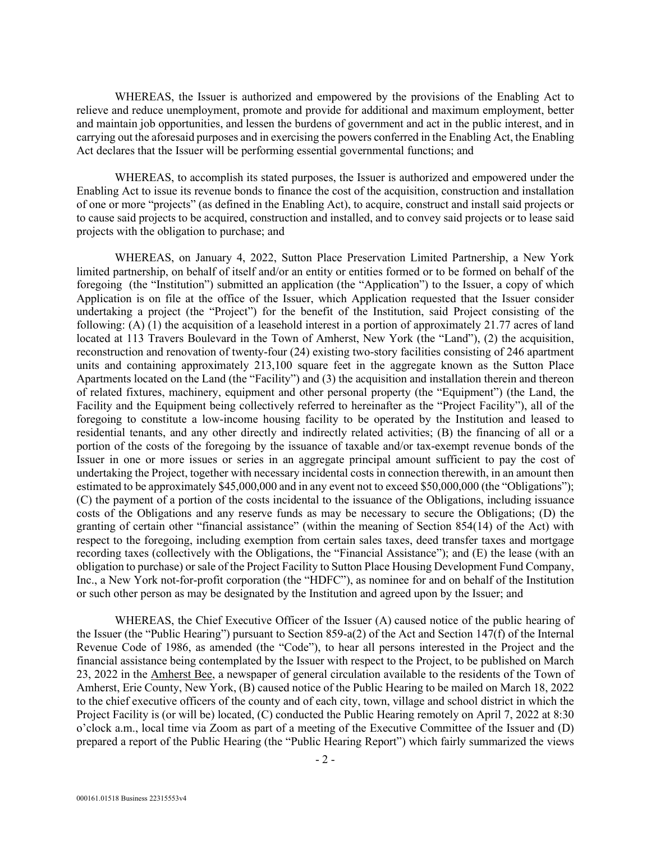WHEREAS, the Issuer is authorized and empowered by the provisions of the Enabling Act to relieve and reduce unemployment, promote and provide for additional and maximum employment, better and maintain job opportunities, and lessen the burdens of government and act in the public interest, and in carrying out the aforesaid purposes and in exercising the powers conferred in the Enabling Act, the Enabling Act declares that the Issuer will be performing essential governmental functions; and

WHEREAS, to accomplish its stated purposes, the Issuer is authorized and empowered under the Enabling Act to issue its revenue bonds to finance the cost of the acquisition, construction and installation of one or more "projects" (as defined in the Enabling Act), to acquire, construct and install said projects or to cause said projects to be acquired, construction and installed, and to convey said projects or to lease said projects with the obligation to purchase; and

WHEREAS, on January 4, 2022, Sutton Place Preservation Limited Partnership, a New York limited partnership, on behalf of itself and/or an entity or entities formed or to be formed on behalf of the foregoing (the "Institution") submitted an application (the "Application") to the Issuer, a copy of which Application is on file at the office of the Issuer, which Application requested that the Issuer consider undertaking a project (the "Project") for the benefit of the Institution, said Project consisting of the following: (A) (1) the acquisition of a leasehold interest in a portion of approximately 21.77 acres of land located at 113 Travers Boulevard in the Town of Amherst, New York (the "Land"), (2) the acquisition, reconstruction and renovation of twenty-four (24) existing two-story facilities consisting of 246 apartment units and containing approximately 213,100 square feet in the aggregate known as the Sutton Place Apartments located on the Land (the "Facility") and (3) the acquisition and installation therein and thereon of related fixtures, machinery, equipment and other personal property (the "Equipment") (the Land, the Facility and the Equipment being collectively referred to hereinafter as the "Project Facility"), all of the foregoing to constitute a low-income housing facility to be operated by the Institution and leased to residential tenants, and any other directly and indirectly related activities; (B) the financing of all or a portion of the costs of the foregoing by the issuance of taxable and/or tax-exempt revenue bonds of the Issuer in one or more issues or series in an aggregate principal amount sufficient to pay the cost of undertaking the Project, together with necessary incidental costs in connection therewith, in an amount then estimated to be approximately \$45,000,000 and in any event not to exceed \$50,000,000 (the "Obligations"); (C) the payment of a portion of the costs incidental to the issuance of the Obligations, including issuance costs of the Obligations and any reserve funds as may be necessary to secure the Obligations; (D) the granting of certain other "financial assistance" (within the meaning of Section 854(14) of the Act) with respect to the foregoing, including exemption from certain sales taxes, deed transfer taxes and mortgage recording taxes (collectively with the Obligations, the "Financial Assistance"); and (E) the lease (with an obligation to purchase) or sale of the Project Facility to Sutton Place Housing Development Fund Company, Inc., a New York not-for-profit corporation (the "HDFC"), as nominee for and on behalf of the Institution or such other person as may be designated by the Institution and agreed upon by the Issuer; and

WHEREAS, the Chief Executive Officer of the Issuer (A) caused notice of the public hearing of the Issuer (the "Public Hearing") pursuant to Section 859-a(2) of the Act and Section 147(f) of the Internal Revenue Code of 1986, as amended (the "Code"), to hear all persons interested in the Project and the financial assistance being contemplated by the Issuer with respect to the Project, to be published on March 23, 2022 in the Amherst Bee, a newspaper of general circulation available to the residents of the Town of Amherst, Erie County, New York, (B) caused notice of the Public Hearing to be mailed on March 18, 2022 to the chief executive officers of the county and of each city, town, village and school district in which the Project Facility is (or will be) located, (C) conducted the Public Hearing remotely on April 7, 2022 at 8:30 o'clock a.m., local time via Zoom as part of a meeting of the Executive Committee of the Issuer and (D) prepared a report of the Public Hearing (the "Public Hearing Report") which fairly summarized the views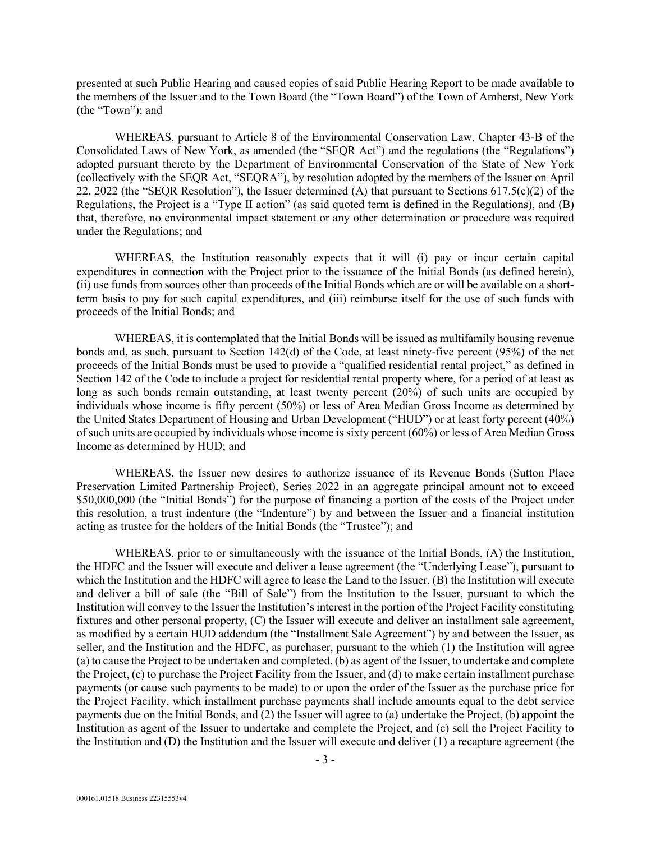presented at such Public Hearing and caused copies of said Public Hearing Report to be made available to the members of the Issuer and to the Town Board (the "Town Board") of the Town of Amherst, New York (the "Town"); and

WHEREAS, pursuant to Article 8 of the Environmental Conservation Law, Chapter 43-B of the Consolidated Laws of New York, as amended (the "SEQR Act") and the regulations (the "Regulations") adopted pursuant thereto by the Department of Environmental Conservation of the State of New York (collectively with the SEQR Act, "SEQRA"), by resolution adopted by the members of the Issuer on April 22, 2022 (the "SEQR Resolution"), the Issuer determined (A) that pursuant to Sections  $617.5(c)(2)$  of the Regulations, the Project is a "Type II action" (as said quoted term is defined in the Regulations), and (B) that, therefore, no environmental impact statement or any other determination or procedure was required under the Regulations; and

WHEREAS, the Institution reasonably expects that it will (i) pay or incur certain capital expenditures in connection with the Project prior to the issuance of the Initial Bonds (as defined herein), (ii) use funds from sources other than proceeds of the Initial Bonds which are or will be available on a shortterm basis to pay for such capital expenditures, and (iii) reimburse itself for the use of such funds with proceeds of the Initial Bonds; and

WHEREAS, it is contemplated that the Initial Bonds will be issued as multifamily housing revenue bonds and, as such, pursuant to Section 142(d) of the Code, at least ninety-five percent (95%) of the net proceeds of the Initial Bonds must be used to provide a "qualified residential rental project," as defined in Section 142 of the Code to include a project for residential rental property where, for a period of at least as long as such bonds remain outstanding, at least twenty percent  $(20\%)$  of such units are occupied by individuals whose income is fifty percent (50%) or less of Area Median Gross Income as determined by the United States Department of Housing and Urban Development ("HUD") or at least forty percent (40%) of such units are occupied by individuals whose income is sixty percent (60%) or less of Area Median Gross Income as determined by HUD; and

WHEREAS, the Issuer now desires to authorize issuance of its Revenue Bonds (Sutton Place Preservation Limited Partnership Project), Series 2022 in an aggregate principal amount not to exceed \$50,000,000 (the "Initial Bonds") for the purpose of financing a portion of the costs of the Project under this resolution, a trust indenture (the "Indenture") by and between the Issuer and a financial institution acting as trustee for the holders of the Initial Bonds (the "Trustee"); and

WHEREAS, prior to or simultaneously with the issuance of the Initial Bonds, (A) the Institution, the HDFC and the Issuer will execute and deliver a lease agreement (the "Underlying Lease"), pursuant to which the Institution and the HDFC will agree to lease the Land to the Issuer, (B) the Institution will execute and deliver a bill of sale (the "Bill of Sale") from the Institution to the Issuer, pursuant to which the Institution will convey to the Issuer the Institution's interest in the portion of the Project Facility constituting fixtures and other personal property, (C) the Issuer will execute and deliver an installment sale agreement, as modified by a certain HUD addendum (the "Installment Sale Agreement") by and between the Issuer, as seller, and the Institution and the HDFC, as purchaser, pursuant to the which (1) the Institution will agree (a) to cause the Project to be undertaken and completed, (b) as agent of the Issuer, to undertake and complete the Project, (c) to purchase the Project Facility from the Issuer, and (d) to make certain installment purchase payments (or cause such payments to be made) to or upon the order of the Issuer as the purchase price for the Project Facility, which installment purchase payments shall include amounts equal to the debt service payments due on the Initial Bonds, and (2) the Issuer will agree to (a) undertake the Project, (b) appoint the Institution as agent of the Issuer to undertake and complete the Project, and (c) sell the Project Facility to the Institution and (D) the Institution and the Issuer will execute and deliver (1) a recapture agreement (the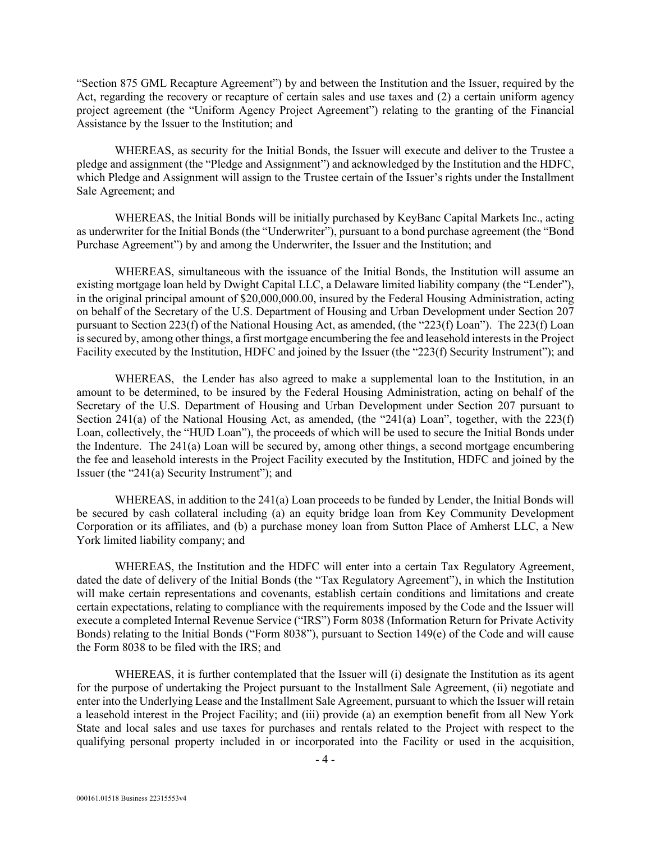"Section 875 GML Recapture Agreement") by and between the Institution and the Issuer, required by the Act, regarding the recovery or recapture of certain sales and use taxes and (2) a certain uniform agency project agreement (the "Uniform Agency Project Agreement") relating to the granting of the Financial Assistance by the Issuer to the Institution; and

WHEREAS, as security for the Initial Bonds, the Issuer will execute and deliver to the Trustee a pledge and assignment (the "Pledge and Assignment") and acknowledged by the Institution and the HDFC, which Pledge and Assignment will assign to the Trustee certain of the Issuer's rights under the Installment Sale Agreement; and

WHEREAS, the Initial Bonds will be initially purchased by KeyBanc Capital Markets Inc., acting as underwriter for the Initial Bonds (the "Underwriter"), pursuant to a bond purchase agreement (the "Bond Purchase Agreement") by and among the Underwriter, the Issuer and the Institution; and

WHEREAS, simultaneous with the issuance of the Initial Bonds, the Institution will assume an existing mortgage loan held by Dwight Capital LLC, a Delaware limited liability company (the "Lender"), in the original principal amount of \$20,000,000.00, insured by the Federal Housing Administration, acting on behalf of the Secretary of the U.S. Department of Housing and Urban Development under Section 207 pursuant to Section 223(f) of the National Housing Act, as amended, (the "223(f) Loan"). The 223(f) Loan is secured by, among other things, a first mortgage encumbering the fee and leasehold interests in the Project Facility executed by the Institution, HDFC and joined by the Issuer (the "223(f) Security Instrument"); and

WHEREAS, the Lender has also agreed to make a supplemental loan to the Institution, in an amount to be determined, to be insured by the Federal Housing Administration, acting on behalf of the Secretary of the U.S. Department of Housing and Urban Development under Section 207 pursuant to Section 241(a) of the National Housing Act, as amended, (the "241(a) Loan", together, with the 223(f) Loan, collectively, the "HUD Loan"), the proceeds of which will be used to secure the Initial Bonds under the Indenture. The 241(a) Loan will be secured by, among other things, a second mortgage encumbering the fee and leasehold interests in the Project Facility executed by the Institution, HDFC and joined by the Issuer (the "241(a) Security Instrument"); and

WHEREAS, in addition to the 241(a) Loan proceeds to be funded by Lender, the Initial Bonds will be secured by cash collateral including (a) an equity bridge loan from Key Community Development Corporation or its affiliates, and (b) a purchase money loan from Sutton Place of Amherst LLC, a New York limited liability company; and

WHEREAS, the Institution and the HDFC will enter into a certain Tax Regulatory Agreement, dated the date of delivery of the Initial Bonds (the "Tax Regulatory Agreement"), in which the Institution will make certain representations and covenants, establish certain conditions and limitations and create certain expectations, relating to compliance with the requirements imposed by the Code and the Issuer will execute a completed Internal Revenue Service ("IRS") Form 8038 (Information Return for Private Activity Bonds) relating to the Initial Bonds ("Form 8038"), pursuant to Section 149(e) of the Code and will cause the Form 8038 to be filed with the IRS; and

WHEREAS, it is further contemplated that the Issuer will (i) designate the Institution as its agent for the purpose of undertaking the Project pursuant to the Installment Sale Agreement, (ii) negotiate and enter into the Underlying Lease and the Installment Sale Agreement, pursuant to which the Issuer will retain a leasehold interest in the Project Facility; and (iii) provide (a) an exemption benefit from all New York State and local sales and use taxes for purchases and rentals related to the Project with respect to the qualifying personal property included in or incorporated into the Facility or used in the acquisition,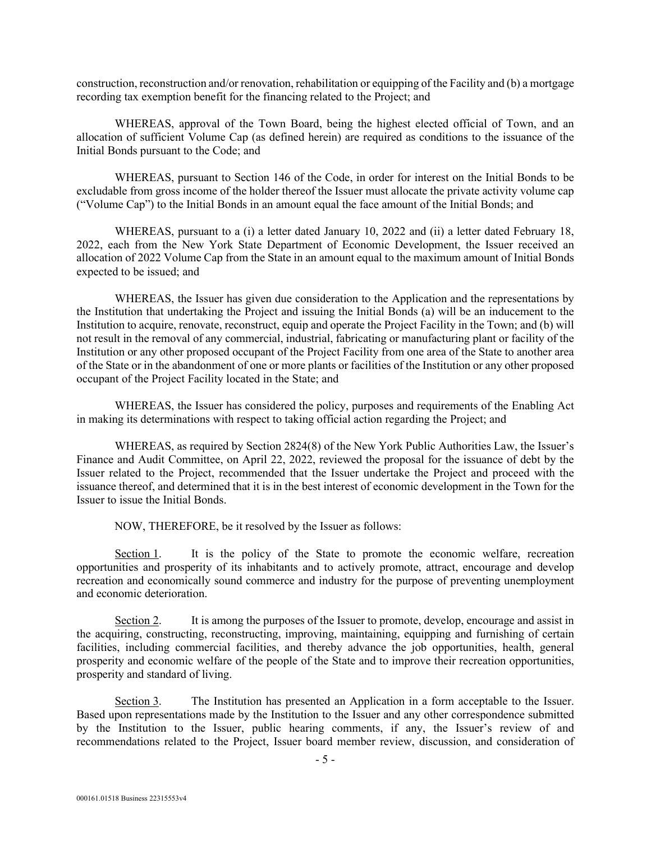construction, reconstruction and/or renovation, rehabilitation or equipping of the Facility and (b) a mortgage recording tax exemption benefit for the financing related to the Project; and

WHEREAS, approval of the Town Board, being the highest elected official of Town, and an allocation of sufficient Volume Cap (as defined herein) are required as conditions to the issuance of the Initial Bonds pursuant to the Code; and

WHEREAS, pursuant to Section 146 of the Code, in order for interest on the Initial Bonds to be excludable from gross income of the holder thereof the Issuer must allocate the private activity volume cap ("Volume Cap") to the Initial Bonds in an amount equal the face amount of the Initial Bonds; and

WHEREAS, pursuant to a (i) a letter dated January 10, 2022 and (ii) a letter dated February 18, 2022, each from the New York State Department of Economic Development, the Issuer received an allocation of 2022 Volume Cap from the State in an amount equal to the maximum amount of Initial Bonds expected to be issued; and

WHEREAS, the Issuer has given due consideration to the Application and the representations by the Institution that undertaking the Project and issuing the Initial Bonds (a) will be an inducement to the Institution to acquire, renovate, reconstruct, equip and operate the Project Facility in the Town; and (b) will not result in the removal of any commercial, industrial, fabricating or manufacturing plant or facility of the Institution or any other proposed occupant of the Project Facility from one area of the State to another area of the State or in the abandonment of one or more plants or facilities of the Institution or any other proposed occupant of the Project Facility located in the State; and

WHEREAS, the Issuer has considered the policy, purposes and requirements of the Enabling Act in making its determinations with respect to taking official action regarding the Project; and

WHEREAS, as required by Section 2824(8) of the New York Public Authorities Law, the Issuer's Finance and Audit Committee, on April 22, 2022, reviewed the proposal for the issuance of debt by the Issuer related to the Project, recommended that the Issuer undertake the Project and proceed with the issuance thereof, and determined that it is in the best interest of economic development in the Town for the Issuer to issue the Initial Bonds.

NOW, THEREFORE, be it resolved by the Issuer as follows:

Section 1. It is the policy of the State to promote the economic welfare, recreation opportunities and prosperity of its inhabitants and to actively promote, attract, encourage and develop recreation and economically sound commerce and industry for the purpose of preventing unemployment and economic deterioration.

Section 2. It is among the purposes of the Issuer to promote, develop, encourage and assist in the acquiring, constructing, reconstructing, improving, maintaining, equipping and furnishing of certain facilities, including commercial facilities, and thereby advance the job opportunities, health, general prosperity and economic welfare of the people of the State and to improve their recreation opportunities, prosperity and standard of living.

 Section 3. The Institution has presented an Application in a form acceptable to the Issuer. Based upon representations made by the Institution to the Issuer and any other correspondence submitted by the Institution to the Issuer, public hearing comments, if any, the Issuer's review of and recommendations related to the Project, Issuer board member review, discussion, and consideration of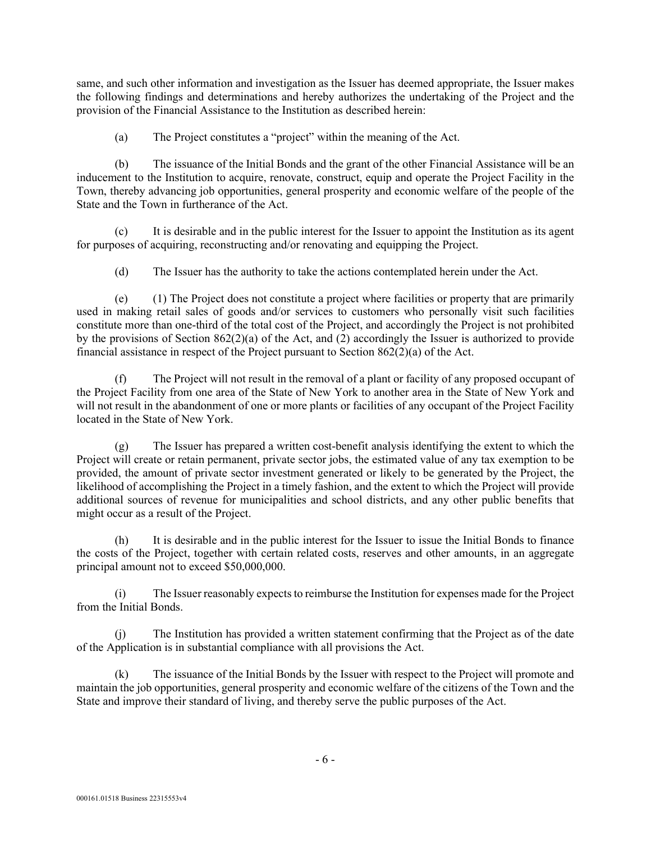same, and such other information and investigation as the Issuer has deemed appropriate, the Issuer makes the following findings and determinations and hereby authorizes the undertaking of the Project and the provision of the Financial Assistance to the Institution as described herein:

(a) The Project constitutes a "project" within the meaning of the Act.

(b) The issuance of the Initial Bonds and the grant of the other Financial Assistance will be an inducement to the Institution to acquire, renovate, construct, equip and operate the Project Facility in the Town, thereby advancing job opportunities, general prosperity and economic welfare of the people of the State and the Town in furtherance of the Act.

(c) It is desirable and in the public interest for the Issuer to appoint the Institution as its agent for purposes of acquiring, reconstructing and/or renovating and equipping the Project.

(d) The Issuer has the authority to take the actions contemplated herein under the Act.

(e) (1) The Project does not constitute a project where facilities or property that are primarily used in making retail sales of goods and/or services to customers who personally visit such facilities constitute more than one-third of the total cost of the Project, and accordingly the Project is not prohibited by the provisions of Section 862(2)(a) of the Act, and (2) accordingly the Issuer is authorized to provide financial assistance in respect of the Project pursuant to Section 862(2)(a) of the Act.

The Project will not result in the removal of a plant or facility of any proposed occupant of the Project Facility from one area of the State of New York to another area in the State of New York and will not result in the abandonment of one or more plants or facilities of any occupant of the Project Facility located in the State of New York.

(g) The Issuer has prepared a written cost-benefit analysis identifying the extent to which the Project will create or retain permanent, private sector jobs, the estimated value of any tax exemption to be provided, the amount of private sector investment generated or likely to be generated by the Project, the likelihood of accomplishing the Project in a timely fashion, and the extent to which the Project will provide additional sources of revenue for municipalities and school districts, and any other public benefits that might occur as a result of the Project.

(h) It is desirable and in the public interest for the Issuer to issue the Initial Bonds to finance the costs of the Project, together with certain related costs, reserves and other amounts, in an aggregate principal amount not to exceed \$50,000,000.

(i) The Issuer reasonably expects to reimburse the Institution for expenses made for the Project from the Initial Bonds.

(j) The Institution has provided a written statement confirming that the Project as of the date of the Application is in substantial compliance with all provisions the Act.

(k) The issuance of the Initial Bonds by the Issuer with respect to the Project will promote and maintain the job opportunities, general prosperity and economic welfare of the citizens of the Town and the State and improve their standard of living, and thereby serve the public purposes of the Act.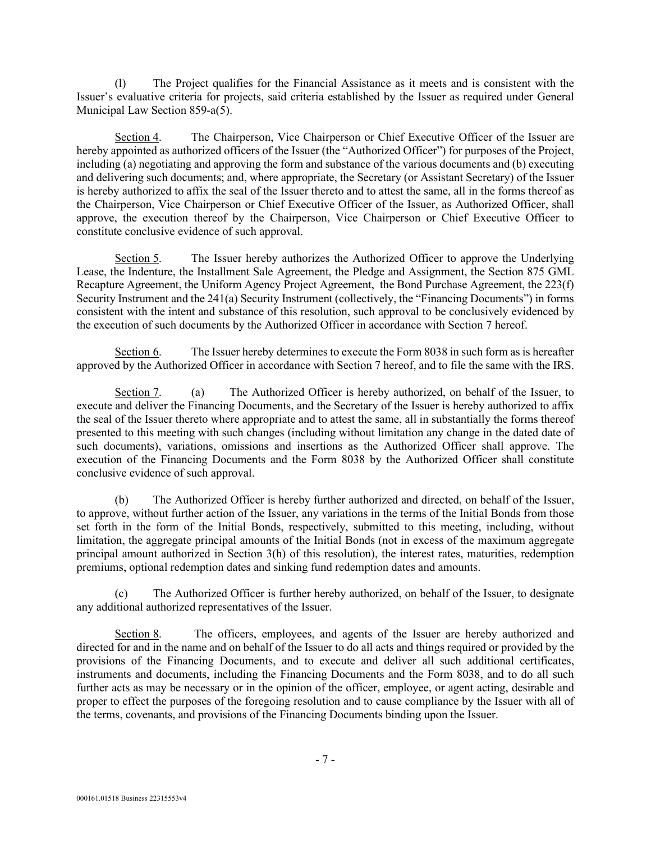(l) The Project qualifies for the Financial Assistance as it meets and is consistent with the Issuer's evaluative criteria for projects, said criteria established by the Issuer as required under General Municipal Law Section 859-a(5).

 Section 4. The Chairperson, Vice Chairperson or Chief Executive Officer of the Issuer are hereby appointed as authorized officers of the Issuer (the "Authorized Officer") for purposes of the Project, including (a) negotiating and approving the form and substance of the various documents and (b) executing and delivering such documents; and, where appropriate, the Secretary (or Assistant Secretary) of the Issuer is hereby authorized to affix the seal of the Issuer thereto and to attest the same, all in the forms thereof as the Chairperson, Vice Chairperson or Chief Executive Officer of the Issuer, as Authorized Officer, shall approve, the execution thereof by the Chairperson, Vice Chairperson or Chief Executive Officer to constitute conclusive evidence of such approval.

Section 5. The Issuer hereby authorizes the Authorized Officer to approve the Underlying Lease, the Indenture, the Installment Sale Agreement, the Pledge and Assignment, the Section 875 GML Recapture Agreement, the Uniform Agency Project Agreement, the Bond Purchase Agreement, the 223(f) Security Instrument and the 241(a) Security Instrument (collectively, the "Financing Documents") in forms consistent with the intent and substance of this resolution, such approval to be conclusively evidenced by the execution of such documents by the Authorized Officer in accordance with Section 7 hereof.

Section 6. The Issuer hereby determines to execute the Form 8038 in such form as is hereafter approved by the Authorized Officer in accordance with Section 7 hereof, and to file the same with the IRS.

Section 7. (a) The Authorized Officer is hereby authorized, on behalf of the Issuer, to execute and deliver the Financing Documents, and the Secretary of the Issuer is hereby authorized to affix the seal of the Issuer thereto where appropriate and to attest the same, all in substantially the forms thereof presented to this meeting with such changes (including without limitation any change in the dated date of such documents), variations, omissions and insertions as the Authorized Officer shall approve. The execution of the Financing Documents and the Form 8038 by the Authorized Officer shall constitute conclusive evidence of such approval.

 (b) The Authorized Officer is hereby further authorized and directed, on behalf of the Issuer, to approve, without further action of the Issuer, any variations in the terms of the Initial Bonds from those set forth in the form of the Initial Bonds, respectively, submitted to this meeting, including, without limitation, the aggregate principal amounts of the Initial Bonds (not in excess of the maximum aggregate principal amount authorized in Section 3(h) of this resolution), the interest rates, maturities, redemption premiums, optional redemption dates and sinking fund redemption dates and amounts.

(c) The Authorized Officer is further hereby authorized, on behalf of the Issuer, to designate any additional authorized representatives of the Issuer.

Section 8. The officers, employees, and agents of the Issuer are hereby authorized and directed for and in the name and on behalf of the Issuer to do all acts and things required or provided by the provisions of the Financing Documents, and to execute and deliver all such additional certificates, instruments and documents, including the Financing Documents and the Form 8038, and to do all such further acts as may be necessary or in the opinion of the officer, employee, or agent acting, desirable and proper to effect the purposes of the foregoing resolution and to cause compliance by the Issuer with all of the terms, covenants, and provisions of the Financing Documents binding upon the Issuer.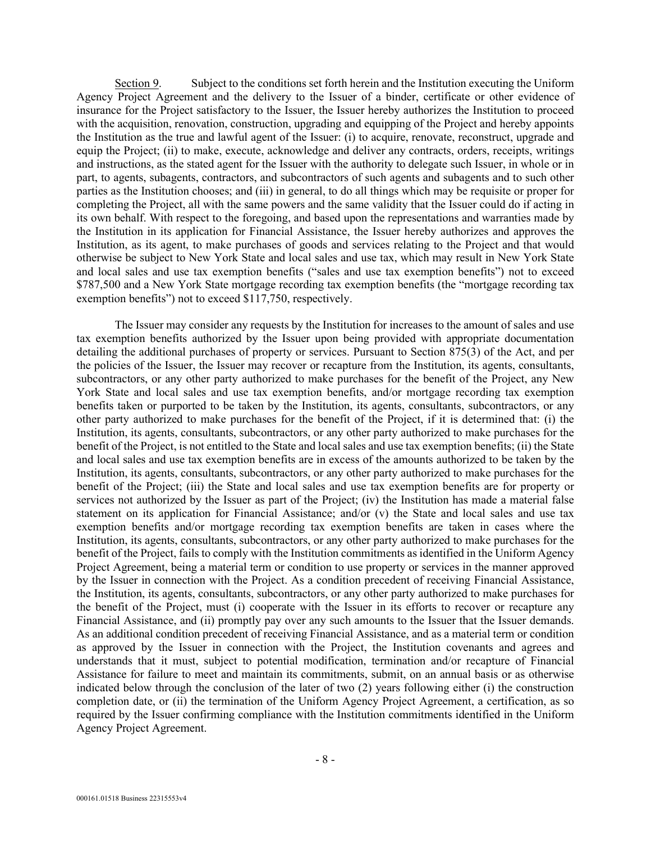Section 9. Subject to the conditions set forth herein and the Institution executing the Uniform Agency Project Agreement and the delivery to the Issuer of a binder, certificate or other evidence of insurance for the Project satisfactory to the Issuer, the Issuer hereby authorizes the Institution to proceed with the acquisition, renovation, construction, upgrading and equipping of the Project and hereby appoints the Institution as the true and lawful agent of the Issuer: (i) to acquire, renovate, reconstruct, upgrade and equip the Project; (ii) to make, execute, acknowledge and deliver any contracts, orders, receipts, writings and instructions, as the stated agent for the Issuer with the authority to delegate such Issuer, in whole or in part, to agents, subagents, contractors, and subcontractors of such agents and subagents and to such other parties as the Institution chooses; and (iii) in general, to do all things which may be requisite or proper for completing the Project, all with the same powers and the same validity that the Issuer could do if acting in its own behalf. With respect to the foregoing, and based upon the representations and warranties made by the Institution in its application for Financial Assistance, the Issuer hereby authorizes and approves the Institution, as its agent, to make purchases of goods and services relating to the Project and that would otherwise be subject to New York State and local sales and use tax, which may result in New York State and local sales and use tax exemption benefits ("sales and use tax exemption benefits") not to exceed \$787,500 and a New York State mortgage recording tax exemption benefits (the "mortgage recording tax exemption benefits") not to exceed \$117,750, respectively.

The Issuer may consider any requests by the Institution for increases to the amount of sales and use tax exemption benefits authorized by the Issuer upon being provided with appropriate documentation detailing the additional purchases of property or services. Pursuant to Section 875(3) of the Act, and per the policies of the Issuer, the Issuer may recover or recapture from the Institution, its agents, consultants, subcontractors, or any other party authorized to make purchases for the benefit of the Project, any New York State and local sales and use tax exemption benefits, and/or mortgage recording tax exemption benefits taken or purported to be taken by the Institution, its agents, consultants, subcontractors, or any other party authorized to make purchases for the benefit of the Project, if it is determined that: (i) the Institution, its agents, consultants, subcontractors, or any other party authorized to make purchases for the benefit of the Project, is not entitled to the State and local sales and use tax exemption benefits; (ii) the State and local sales and use tax exemption benefits are in excess of the amounts authorized to be taken by the Institution, its agents, consultants, subcontractors, or any other party authorized to make purchases for the benefit of the Project; (iii) the State and local sales and use tax exemption benefits are for property or services not authorized by the Issuer as part of the Project; (iv) the Institution has made a material false statement on its application for Financial Assistance; and/or (v) the State and local sales and use tax exemption benefits and/or mortgage recording tax exemption benefits are taken in cases where the Institution, its agents, consultants, subcontractors, or any other party authorized to make purchases for the benefit of the Project, fails to comply with the Institution commitments as identified in the Uniform Agency Project Agreement, being a material term or condition to use property or services in the manner approved by the Issuer in connection with the Project. As a condition precedent of receiving Financial Assistance, the Institution, its agents, consultants, subcontractors, or any other party authorized to make purchases for the benefit of the Project, must (i) cooperate with the Issuer in its efforts to recover or recapture any Financial Assistance, and (ii) promptly pay over any such amounts to the Issuer that the Issuer demands. As an additional condition precedent of receiving Financial Assistance, and as a material term or condition as approved by the Issuer in connection with the Project, the Institution covenants and agrees and understands that it must, subject to potential modification, termination and/or recapture of Financial Assistance for failure to meet and maintain its commitments, submit, on an annual basis or as otherwise indicated below through the conclusion of the later of two (2) years following either (i) the construction completion date, or (ii) the termination of the Uniform Agency Project Agreement, a certification, as so required by the Issuer confirming compliance with the Institution commitments identified in the Uniform Agency Project Agreement.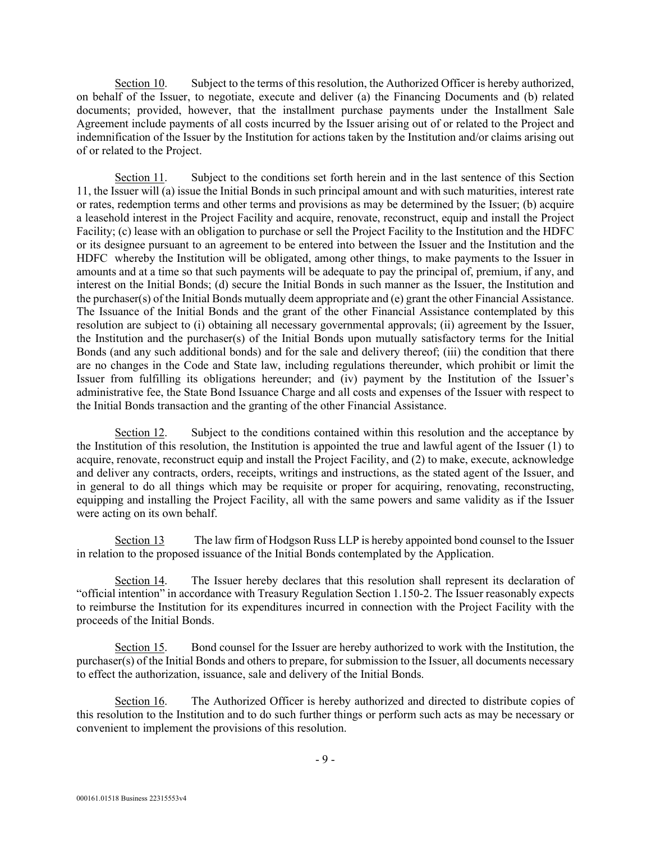Section 10. Subject to the terms of this resolution, the Authorized Officer is hereby authorized, on behalf of the Issuer, to negotiate, execute and deliver (a) the Financing Documents and (b) related documents; provided, however, that the installment purchase payments under the Installment Sale Agreement include payments of all costs incurred by the Issuer arising out of or related to the Project and indemnification of the Issuer by the Institution for actions taken by the Institution and/or claims arising out of or related to the Project.

 Section 11. Subject to the conditions set forth herein and in the last sentence of this Section 11, the Issuer will (a) issue the Initial Bonds in such principal amount and with such maturities, interest rate or rates, redemption terms and other terms and provisions as may be determined by the Issuer; (b) acquire a leasehold interest in the Project Facility and acquire, renovate, reconstruct, equip and install the Project Facility; (c) lease with an obligation to purchase or sell the Project Facility to the Institution and the HDFC or its designee pursuant to an agreement to be entered into between the Issuer and the Institution and the HDFC whereby the Institution will be obligated, among other things, to make payments to the Issuer in amounts and at a time so that such payments will be adequate to pay the principal of, premium, if any, and interest on the Initial Bonds; (d) secure the Initial Bonds in such manner as the Issuer, the Institution and the purchaser(s) of the Initial Bonds mutually deem appropriate and (e) grant the other Financial Assistance. The Issuance of the Initial Bonds and the grant of the other Financial Assistance contemplated by this resolution are subject to (i) obtaining all necessary governmental approvals; (ii) agreement by the Issuer, the Institution and the purchaser(s) of the Initial Bonds upon mutually satisfactory terms for the Initial Bonds (and any such additional bonds) and for the sale and delivery thereof; (iii) the condition that there are no changes in the Code and State law, including regulations thereunder, which prohibit or limit the Issuer from fulfilling its obligations hereunder; and (iv) payment by the Institution of the Issuer's administrative fee, the State Bond Issuance Charge and all costs and expenses of the Issuer with respect to the Initial Bonds transaction and the granting of the other Financial Assistance.

 Section 12. Subject to the conditions contained within this resolution and the acceptance by the Institution of this resolution, the Institution is appointed the true and lawful agent of the Issuer (1) to acquire, renovate, reconstruct equip and install the Project Facility, and (2) to make, execute, acknowledge and deliver any contracts, orders, receipts, writings and instructions, as the stated agent of the Issuer, and in general to do all things which may be requisite or proper for acquiring, renovating, reconstructing, equipping and installing the Project Facility, all with the same powers and same validity as if the Issuer were acting on its own behalf.

 Section 13 The law firm of Hodgson Russ LLP is hereby appointed bond counsel to the Issuer in relation to the proposed issuance of the Initial Bonds contemplated by the Application.

 Section 14. The Issuer hereby declares that this resolution shall represent its declaration of "official intention" in accordance with Treasury Regulation Section 1.150-2. The Issuer reasonably expects to reimburse the Institution for its expenditures incurred in connection with the Project Facility with the proceeds of the Initial Bonds.

Section 15. Bond counsel for the Issuer are hereby authorized to work with the Institution, the purchaser(s) of the Initial Bonds and others to prepare, for submission to the Issuer, all documents necessary to effect the authorization, issuance, sale and delivery of the Initial Bonds.

Section 16. The Authorized Officer is hereby authorized and directed to distribute copies of this resolution to the Institution and to do such further things or perform such acts as may be necessary or convenient to implement the provisions of this resolution.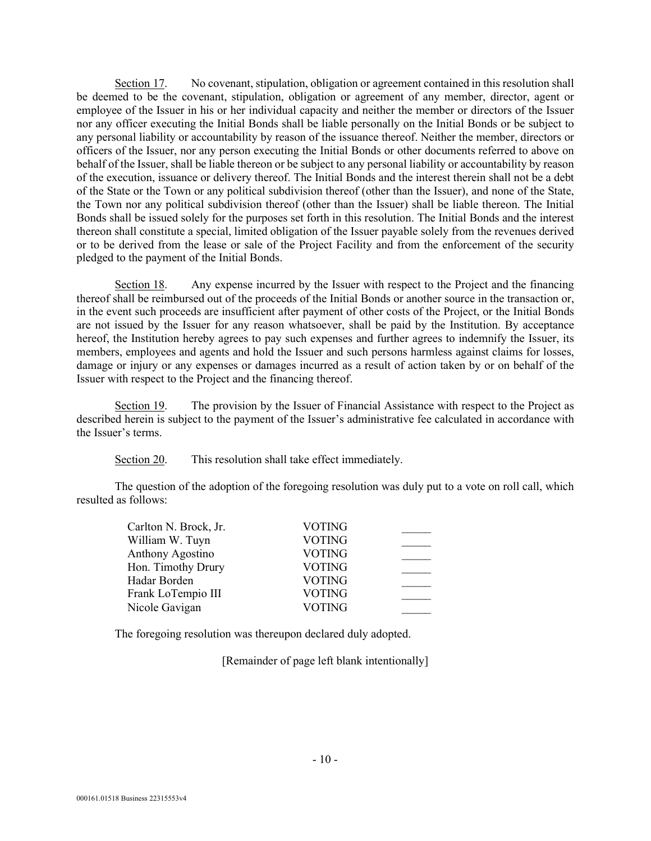Section 17. No covenant, stipulation, obligation or agreement contained in this resolution shall be deemed to be the covenant, stipulation, obligation or agreement of any member, director, agent or employee of the Issuer in his or her individual capacity and neither the member or directors of the Issuer nor any officer executing the Initial Bonds shall be liable personally on the Initial Bonds or be subject to any personal liability or accountability by reason of the issuance thereof. Neither the member, directors or officers of the Issuer, nor any person executing the Initial Bonds or other documents referred to above on behalf of the Issuer, shall be liable thereon or be subject to any personal liability or accountability by reason of the execution, issuance or delivery thereof. The Initial Bonds and the interest therein shall not be a debt of the State or the Town or any political subdivision thereof (other than the Issuer), and none of the State, the Town nor any political subdivision thereof (other than the Issuer) shall be liable thereon. The Initial Bonds shall be issued solely for the purposes set forth in this resolution. The Initial Bonds and the interest thereon shall constitute a special, limited obligation of the Issuer payable solely from the revenues derived or to be derived from the lease or sale of the Project Facility and from the enforcement of the security pledged to the payment of the Initial Bonds.

 Section 18. Any expense incurred by the Issuer with respect to the Project and the financing thereof shall be reimbursed out of the proceeds of the Initial Bonds or another source in the transaction or, in the event such proceeds are insufficient after payment of other costs of the Project, or the Initial Bonds are not issued by the Issuer for any reason whatsoever, shall be paid by the Institution. By acceptance hereof, the Institution hereby agrees to pay such expenses and further agrees to indemnify the Issuer, its members, employees and agents and hold the Issuer and such persons harmless against claims for losses, damage or injury or any expenses or damages incurred as a result of action taken by or on behalf of the Issuer with respect to the Project and the financing thereof.

 Section 19. The provision by the Issuer of Financial Assistance with respect to the Project as described herein is subject to the payment of the Issuer's administrative fee calculated in accordance with the Issuer's terms.

Section 20. This resolution shall take effect immediately.

The question of the adoption of the foregoing resolution was duly put to a vote on roll call, which resulted as follows:

| Carlton N. Brock, Jr. | <b>VOTING</b> |  |
|-----------------------|---------------|--|
| William W. Tuyn       | <b>VOTING</b> |  |
| Anthony Agostino      | <b>VOTING</b> |  |
| Hon. Timothy Drury    | <b>VOTING</b> |  |
| Hadar Borden          | <b>VOTING</b> |  |
| Frank LoTempio III    | <b>VOTING</b> |  |
| Nicole Gavigan        | <b>VOTING</b> |  |

The foregoing resolution was thereupon declared duly adopted.

[Remainder of page left blank intentionally]